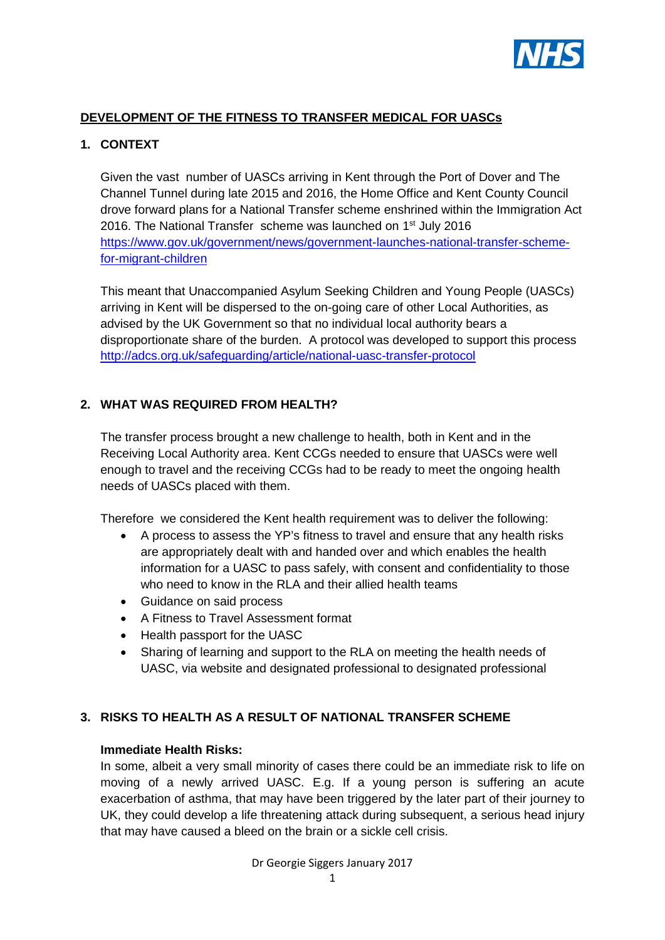

### **DEVELOPMENT OF THE FITNESS TO TRANSFER MEDICAL FOR UASCs**

### **1. CONTEXT**

Given the vast number of UASCs arriving in Kent through the Port of Dover and The Channel Tunnel during late 2015 and 2016, the Home Office and Kent County Council drove forward plans for a National Transfer scheme enshrined within the Immigration Act 2016. The National Transfer scheme was launched on 1<sup>st</sup> July 2016 [https://www.gov.uk/government/news/government-launches-national-transfer-scheme](https://www.gov.uk/government/news/government-launches-national-transfer-scheme-for-migrant-children)[for-migrant-children](https://www.gov.uk/government/news/government-launches-national-transfer-scheme-for-migrant-children)

This meant that Unaccompanied Asylum Seeking Children and Young People (UASCs) arriving in Kent will be dispersed to the on-going care of other Local Authorities, as advised by the UK Government so that no individual local authority bears a disproportionate share of the burden. A protocol was developed to support this process <http://adcs.org.uk/safeguarding/article/national-uasc-transfer-protocol>

#### **2. WHAT WAS REQUIRED FROM HEALTH?**

The transfer process brought a new challenge to health, both in Kent and in the Receiving Local Authority area. Kent CCGs needed to ensure that UASCs were well enough to travel and the receiving CCGs had to be ready to meet the ongoing health needs of UASCs placed with them.

Therefore we considered the Kent health requirement was to deliver the following:

- A process to assess the YP's fitness to travel and ensure that any health risks are appropriately dealt with and handed over and which enables the health information for a UASC to pass safely, with consent and confidentiality to those who need to know in the RLA and their allied health teams
- Guidance on said process
- A Fitness to Travel Assessment format
- Health passport for the UASC
- Sharing of learning and support to the RLA on meeting the health needs of UASC, via website and designated professional to designated professional

## **3. RISKS TO HEALTH AS A RESULT OF NATIONAL TRANSFER SCHEME**

#### **Immediate Health Risks:**

In some, albeit a very small minority of cases there could be an immediate risk to life on moving of a newly arrived UASC. E.g. If a young person is suffering an acute exacerbation of asthma, that may have been triggered by the later part of their journey to UK, they could develop a life threatening attack during subsequent, a serious head injury that may have caused a bleed on the brain or a sickle cell crisis.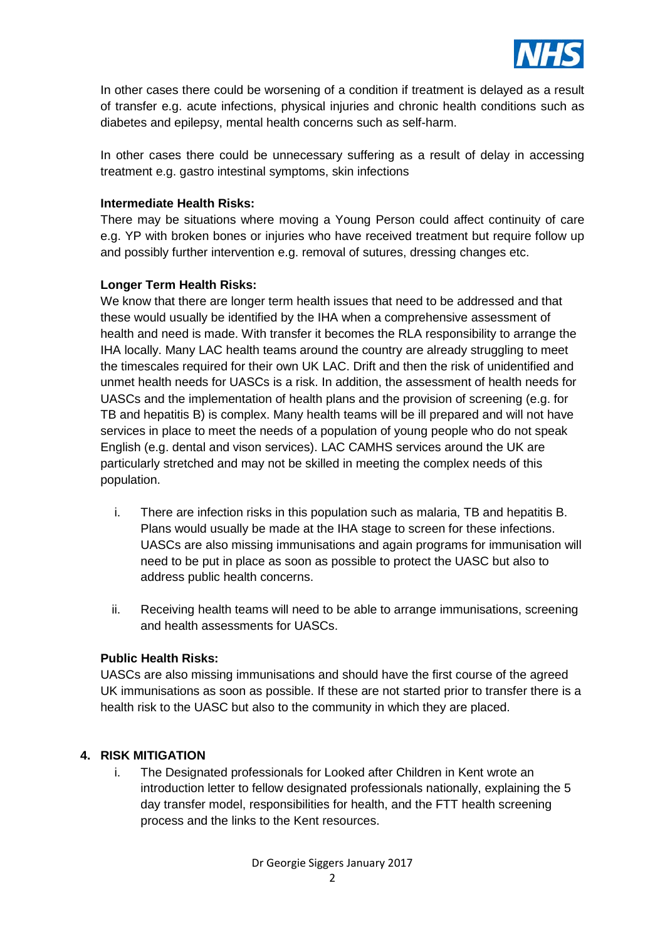

In other cases there could be worsening of a condition if treatment is delayed as a result of transfer e.g. acute infections, physical injuries and chronic health conditions such as diabetes and epilepsy, mental health concerns such as self-harm.

In other cases there could be unnecessary suffering as a result of delay in accessing treatment e.g. gastro intestinal symptoms, skin infections

### **Intermediate Health Risks:**

There may be situations where moving a Young Person could affect continuity of care e.g. YP with broken bones or injuries who have received treatment but require follow up and possibly further intervention e.g. removal of sutures, dressing changes etc.

### **Longer Term Health Risks:**

We know that there are longer term health issues that need to be addressed and that these would usually be identified by the IHA when a comprehensive assessment of health and need is made. With transfer it becomes the RLA responsibility to arrange the IHA locally. Many LAC health teams around the country are already struggling to meet the timescales required for their own UK LAC. Drift and then the risk of unidentified and unmet health needs for UASCs is a risk. In addition, the assessment of health needs for UASCs and the implementation of health plans and the provision of screening (e.g. for TB and hepatitis B) is complex. Many health teams will be ill prepared and will not have services in place to meet the needs of a population of young people who do not speak English (e.g. dental and vison services). LAC CAMHS services around the UK are particularly stretched and may not be skilled in meeting the complex needs of this population.

- i. There are infection risks in this population such as malaria, TB and hepatitis B. Plans would usually be made at the IHA stage to screen for these infections. UASCs are also missing immunisations and again programs for immunisation will need to be put in place as soon as possible to protect the UASC but also to address public health concerns.
- ii. Receiving health teams will need to be able to arrange immunisations, screening and health assessments for UASCs.

#### **Public Health Risks:**

UASCs are also missing immunisations and should have the first course of the agreed UK immunisations as soon as possible. If these are not started prior to transfer there is a health risk to the UASC but also to the community in which they are placed.

#### **4. RISK MITIGATION**

i. The Designated professionals for Looked after Children in Kent wrote an introduction letter to fellow designated professionals nationally, explaining the 5 day transfer model, responsibilities for health, and the FTT health screening process and the links to the Kent resources.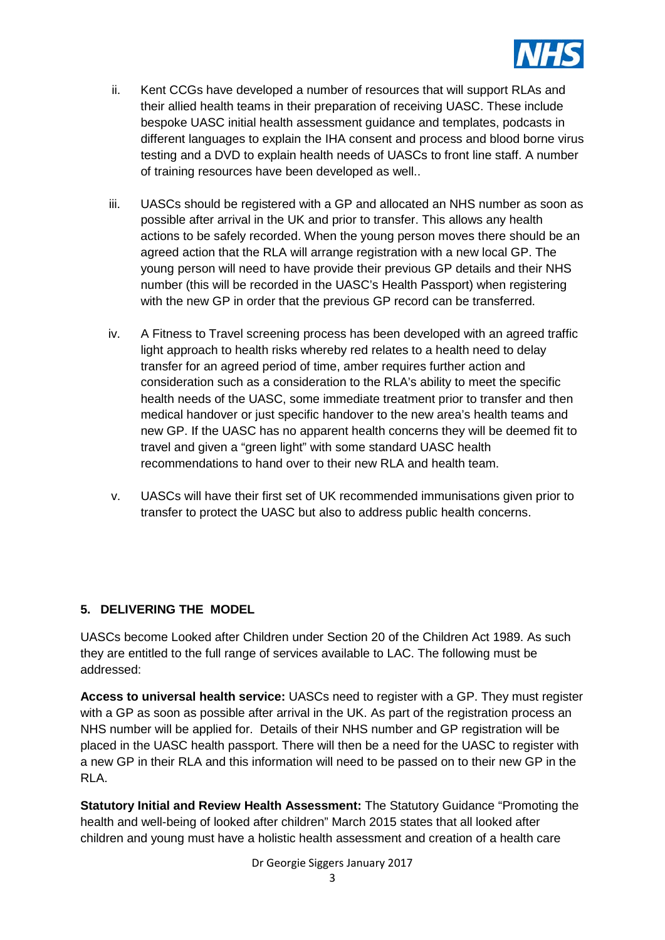

- ii. Kent CCGs have developed a number of resources that will support RLAs and their allied health teams in their preparation of receiving UASC. These include bespoke UASC initial health assessment guidance and templates, podcasts in different languages to explain the IHA consent and process and blood borne virus testing and a DVD to explain health needs of UASCs to front line staff. A number of training resources have been developed as well..
- iii. UASCs should be registered with a GP and allocated an NHS number as soon as possible after arrival in the UK and prior to transfer. This allows any health actions to be safely recorded. When the young person moves there should be an agreed action that the RLA will arrange registration with a new local GP. The young person will need to have provide their previous GP details and their NHS number (this will be recorded in the UASC's Health Passport) when registering with the new GP in order that the previous GP record can be transferred.
- iv. A Fitness to Travel screening process has been developed with an agreed traffic light approach to health risks whereby red relates to a health need to delay transfer for an agreed period of time, amber requires further action and consideration such as a consideration to the RLA's ability to meet the specific health needs of the UASC, some immediate treatment prior to transfer and then medical handover or just specific handover to the new area's health teams and new GP. If the UASC has no apparent health concerns they will be deemed fit to travel and given a "green light" with some standard UASC health recommendations to hand over to their new RLA and health team.
- v. UASCs will have their first set of UK recommended immunisations given prior to transfer to protect the UASC but also to address public health concerns.

### **5. DELIVERING THE MODEL**

UASCs become Looked after Children under Section 20 of the Children Act 1989. As such they are entitled to the full range of services available to LAC. The following must be addressed:

**Access to universal health service:** UASCs need to register with a GP. They must register with a GP as soon as possible after arrival in the UK. As part of the registration process an NHS number will be applied for. Details of their NHS number and GP registration will be placed in the UASC health passport. There will then be a need for the UASC to register with a new GP in their RLA and this information will need to be passed on to their new GP in the RLA.

**Statutory Initial and Review Health Assessment:** The Statutory Guidance "Promoting the health and well-being of looked after children" March 2015 states that all looked after children and young must have a holistic health assessment and creation of a health care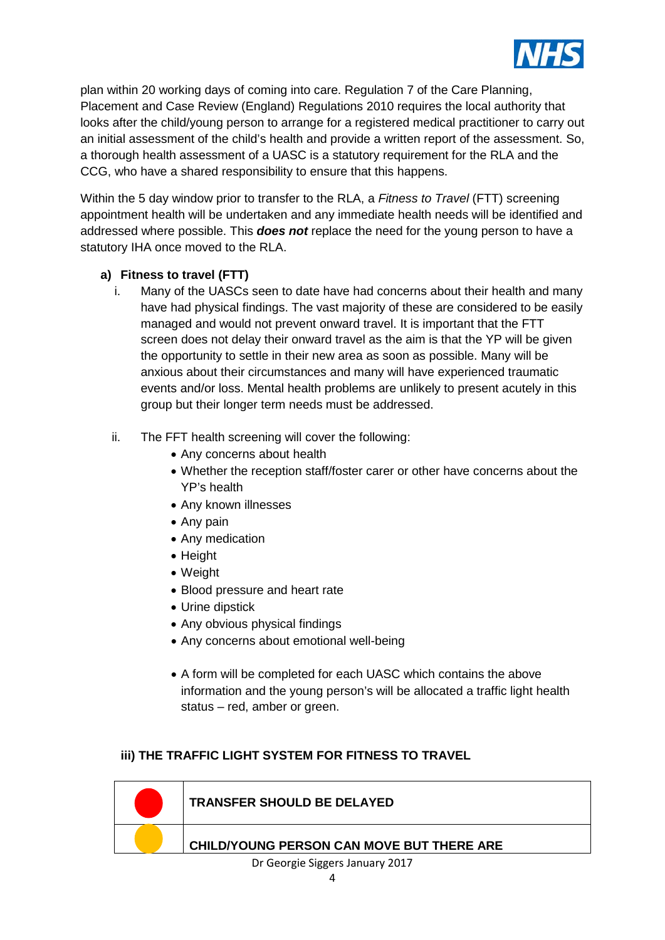

plan within 20 working days of coming into care. Regulation 7 of the Care Planning, Placement and Case Review (England) Regulations 2010 requires the local authority that looks after the child/young person to arrange for a registered medical practitioner to carry out an initial assessment of the child's health and provide a written report of the assessment. So, a thorough health assessment of a UASC is a statutory requirement for the RLA and the CCG, who have a shared responsibility to ensure that this happens.

Within the 5 day window prior to transfer to the RLA, a *Fitness to Travel* (FTT) screening appointment health will be undertaken and any immediate health needs will be identified and addressed where possible. This *does not* replace the need for the young person to have a statutory IHA once moved to the RLA.

### **a) Fitness to travel (FTT)**

- i. Many of the UASCs seen to date have had concerns about their health and many have had physical findings. The vast majority of these are considered to be easily managed and would not prevent onward travel. It is important that the FTT screen does not delay their onward travel as the aim is that the YP will be given the opportunity to settle in their new area as soon as possible. Many will be anxious about their circumstances and many will have experienced traumatic events and/or loss. Mental health problems are unlikely to present acutely in this group but their longer term needs must be addressed.
- ii. The FFT health screening will cover the following:
	- Any concerns about health
	- Whether the reception staff/foster carer or other have concerns about the YP's health
	- Any known illnesses
	- Any pain
	- Any medication
	- Height
	- Weight
	- Blood pressure and heart rate
	- Urine dipstick
	- Any obvious physical findings
	- Any concerns about emotional well-being
	- A form will be completed for each UASC which contains the above information and the young person's will be allocated a traffic light health status – red, amber or green.

### **iii) THE TRAFFIC LIGHT SYSTEM FOR FITNESS TO TRAVEL**



Dr Georgie Siggers January 2017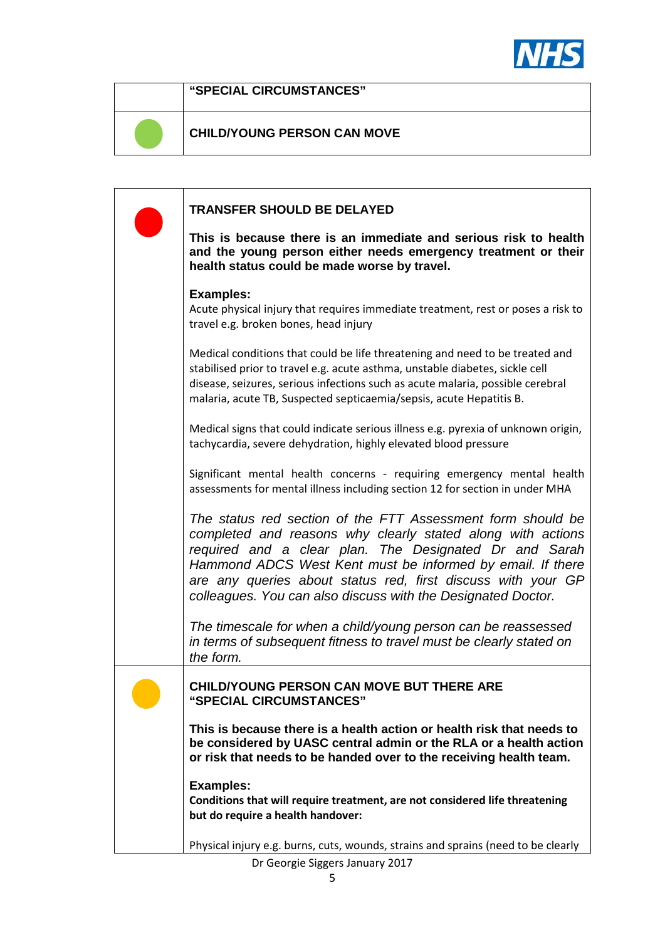

**"SPECIAL CIRCUMSTANCES"**

# **CHILD/YOUNG PERSON CAN MOVE**

**TRANSFER SHOULD BE DELAYED This is because there is an immediate and serious risk to health and the young person either needs emergency treatment or their health status could be made worse by travel. Examples:** Acute physical injury that requires immediate treatment, rest or poses a risk to travel e.g. broken bones, head injury Medical conditions that could be life threatening and need to be treated and stabilised prior to travel e.g. acute asthma, unstable diabetes, sickle cell disease, seizures, serious infections such as acute malaria, possible cerebral malaria, acute TB, Suspected septicaemia/sepsis, acute Hepatitis B. Medical signs that could indicate serious illness e.g. pyrexia of unknown origin, tachycardia, severe dehydration, highly elevated blood pressure Significant mental health concerns - requiring emergency mental health assessments for mental illness including section 12 for section in under MHA *The status red section of the FTT Assessment form should be completed and reasons why clearly stated along with actions required and a clear plan. The Designated Dr and Sarah Hammond ADCS West Kent must be informed by email. If there are any queries about status red, first discuss with your GP colleagues. You can also discuss with the Designated Doctor. The timescale for when a child/young person can be reassessed in terms of subsequent fitness to travel must be clearly stated on the form.*  **CHILD/YOUNG PERSON CAN MOVE BUT THERE ARE "SPECIAL CIRCUMSTANCES" This is because there is a health action or health risk that needs to be considered by UASC central admin or the RLA or a health action or risk that needs to be handed over to the receiving health team. Examples: Conditions that will require treatment, are not considered life threatening but do require a health handover:** Physical injury e.g. burns, cuts, wounds, strains and sprains (need to be clearly

Dr Georgie Siggers January 2017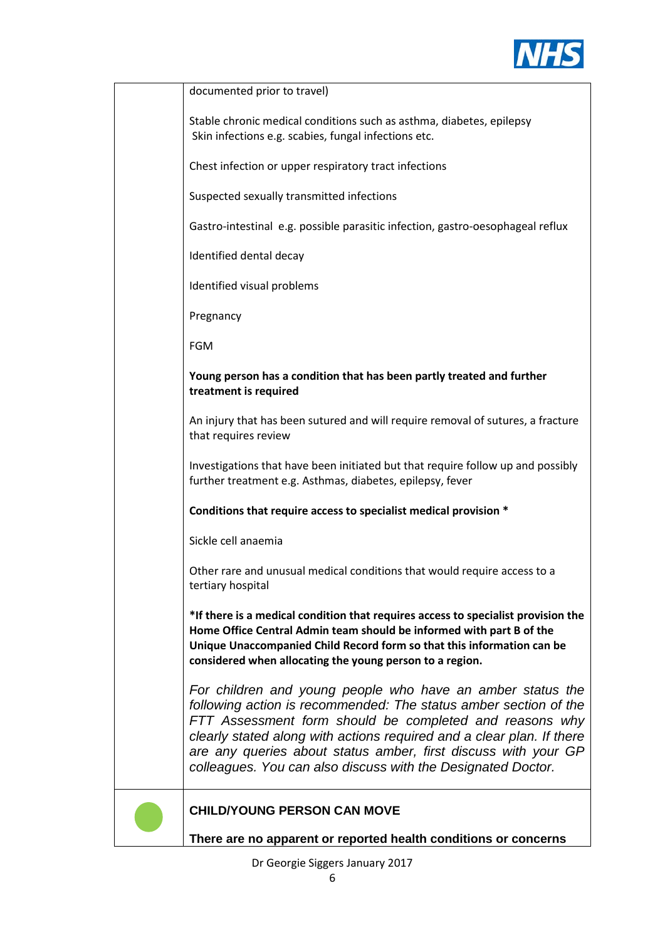

| documented prior to travel)                                                                                                                                                                                                                                                                                                                                                                          |
|------------------------------------------------------------------------------------------------------------------------------------------------------------------------------------------------------------------------------------------------------------------------------------------------------------------------------------------------------------------------------------------------------|
| Stable chronic medical conditions such as asthma, diabetes, epilepsy<br>Skin infections e.g. scabies, fungal infections etc.                                                                                                                                                                                                                                                                         |
| Chest infection or upper respiratory tract infections                                                                                                                                                                                                                                                                                                                                                |
| Suspected sexually transmitted infections                                                                                                                                                                                                                                                                                                                                                            |
| Gastro-intestinal e.g. possible parasitic infection, gastro-oesophageal reflux                                                                                                                                                                                                                                                                                                                       |
| Identified dental decay                                                                                                                                                                                                                                                                                                                                                                              |
| Identified visual problems                                                                                                                                                                                                                                                                                                                                                                           |
| Pregnancy                                                                                                                                                                                                                                                                                                                                                                                            |
| <b>FGM</b>                                                                                                                                                                                                                                                                                                                                                                                           |
| Young person has a condition that has been partly treated and further<br>treatment is required                                                                                                                                                                                                                                                                                                       |
| An injury that has been sutured and will require removal of sutures, a fracture<br>that requires review                                                                                                                                                                                                                                                                                              |
| Investigations that have been initiated but that require follow up and possibly<br>further treatment e.g. Asthmas, diabetes, epilepsy, fever                                                                                                                                                                                                                                                         |
| Conditions that require access to specialist medical provision *                                                                                                                                                                                                                                                                                                                                     |
| Sickle cell anaemia                                                                                                                                                                                                                                                                                                                                                                                  |
| Other rare and unusual medical conditions that would require access to a<br>tertiary hospital                                                                                                                                                                                                                                                                                                        |
| *If there is a medical condition that requires access to specialist provision the<br>Home Office Central Admin team should be informed with part B of the<br>Unique Unaccompanied Child Record form so that this information can be<br>considered when allocating the young person to a region.                                                                                                      |
| For children and young people who have an amber status the<br>following action is recommended: The status amber section of the<br>FTT Assessment form should be completed and reasons why<br>clearly stated along with actions required and a clear plan. If there<br>are any queries about status amber, first discuss with your GP<br>colleagues. You can also discuss with the Designated Doctor. |
| <b>CHILD/YOUNG PERSON CAN MOVE</b>                                                                                                                                                                                                                                                                                                                                                                   |

**There are no apparent or reported health conditions or concerns** 

Dr Georgie Siggers January 2017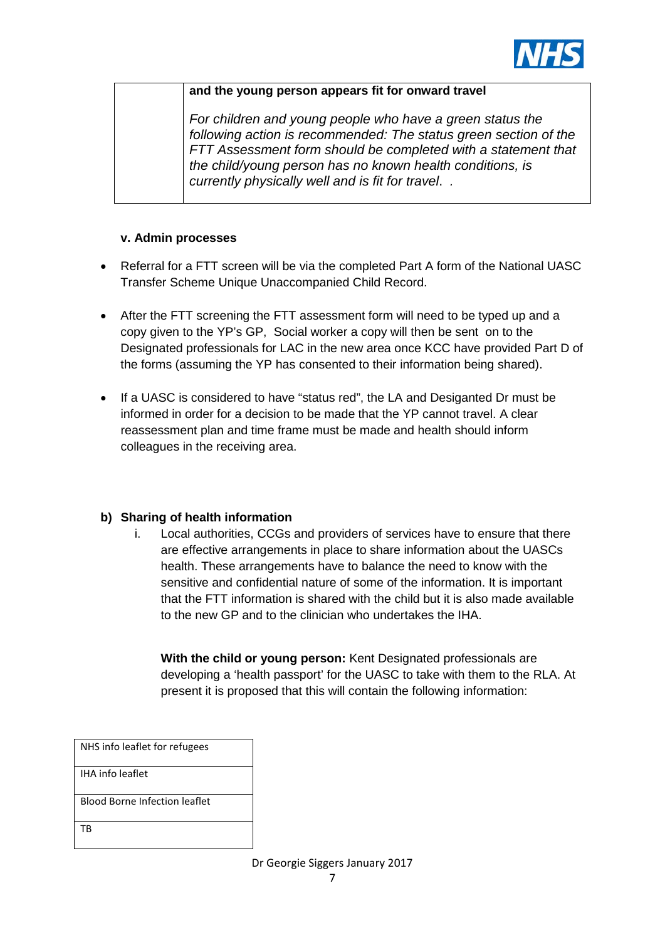

#### **and the young person appears fit for onward travel**

*For children and young people who have a green status the following action is recommended: The status green section of the FTT Assessment form should be completed with a statement that the child/young person has no known health conditions, is currently physically well and is fit for travel*. *.* 

### **v. Admin processes**

- Referral for a FTT screen will be via the completed Part A form of the National UASC Transfer Scheme Unique Unaccompanied Child Record.
- After the FTT screening the FTT assessment form will need to be typed up and a copy given to the YP's GP, Social worker a copy will then be sent on to the Designated professionals for LAC in the new area once KCC have provided Part D of the forms (assuming the YP has consented to their information being shared).
- If a UASC is considered to have "status red", the LA and Desiganted Dr must be informed in order for a decision to be made that the YP cannot travel. A clear reassessment plan and time frame must be made and health should inform colleagues in the receiving area.

#### **b) Sharing of health information**

i. Local authorities, CCGs and providers of services have to ensure that there are effective arrangements in place to share information about the UASCs health. These arrangements have to balance the need to know with the sensitive and confidential nature of some of the information. It is important that the FTT information is shared with the child but it is also made available to the new GP and to the clinician who undertakes the IHA.

**With the child or young person:** Kent Designated professionals are developing a 'health passport' for the UASC to take with them to the RLA. At present it is proposed that this will contain the following information:

| NHS info leaflet for refugees |
|-------------------------------|
| <b>IHA info leaflet</b>       |
| Blood Borne Infection leaflet |
| ТB                            |